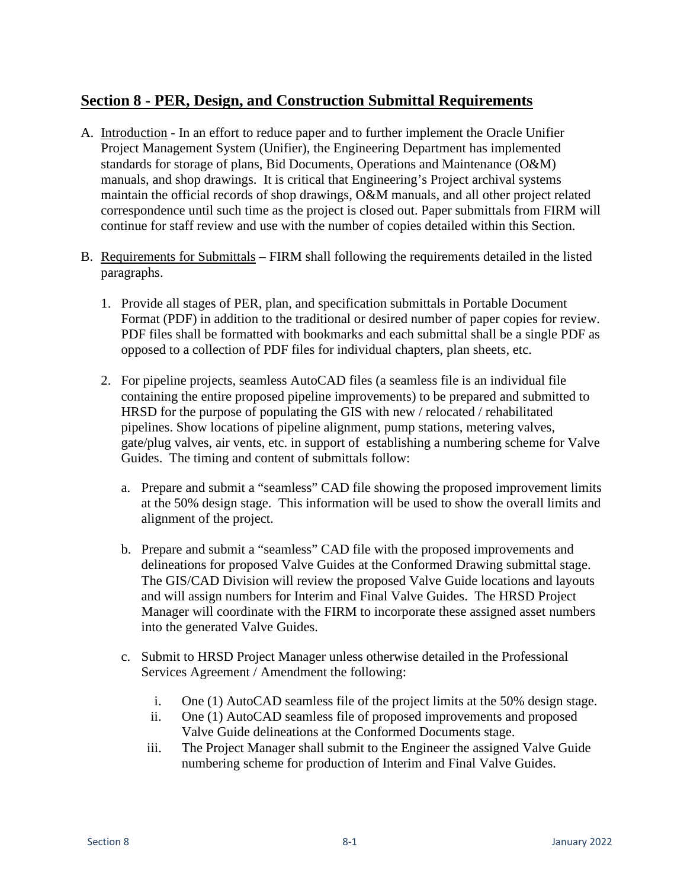## **Section 8 - PER, Design, and Construction Submittal Requirements**

- A. Introduction In an effort to reduce paper and to further implement the Oracle Unifier Project Management System (Unifier), the Engineering Department has implemented standards for storage of plans, Bid Documents, Operations and Maintenance (O&M) manuals, and shop drawings. It is critical that Engineering's Project archival systems maintain the official records of shop drawings, O&M manuals, and all other project related correspondence until such time as the project is closed out. Paper submittals from FIRM will continue for staff review and use with the number of copies detailed within this Section.
- B. Requirements for Submittals FIRM shall following the requirements detailed in the listed paragraphs.
	- 1. Provide all stages of PER, plan, and specification submittals in Portable Document Format (PDF) in addition to the traditional or desired number of paper copies for review. PDF files shall be formatted with bookmarks and each submittal shall be a single PDF as opposed to a collection of PDF files for individual chapters, plan sheets, etc.
	- 2. For pipeline projects, seamless AutoCAD files (a seamless file is an individual file containing the entire proposed pipeline improvements) to be prepared and submitted to HRSD for the purpose of populating the GIS with new / relocated / rehabilitated pipelines. Show locations of pipeline alignment, pump stations, metering valves, gate/plug valves, air vents, etc. in support of establishing a numbering scheme for Valve Guides. The timing and content of submittals follow:
		- a. Prepare and submit a "seamless" CAD file showing the proposed improvement limits at the 50% design stage. This information will be used to show the overall limits and alignment of the project.
		- b. Prepare and submit a "seamless" CAD file with the proposed improvements and delineations for proposed Valve Guides at the Conformed Drawing submittal stage. The GIS/CAD Division will review the proposed Valve Guide locations and layouts and will assign numbers for Interim and Final Valve Guides. The HRSD Project Manager will coordinate with the FIRM to incorporate these assigned asset numbers into the generated Valve Guides.
		- c. Submit to HRSD Project Manager unless otherwise detailed in the Professional Services Agreement / Amendment the following:
			- i. One (1) AutoCAD seamless file of the project limits at the 50% design stage.
			- ii. One (1) AutoCAD seamless file of proposed improvements and proposed Valve Guide delineations at the Conformed Documents stage.
			- iii. The Project Manager shall submit to the Engineer the assigned Valve Guide numbering scheme for production of Interim and Final Valve Guides.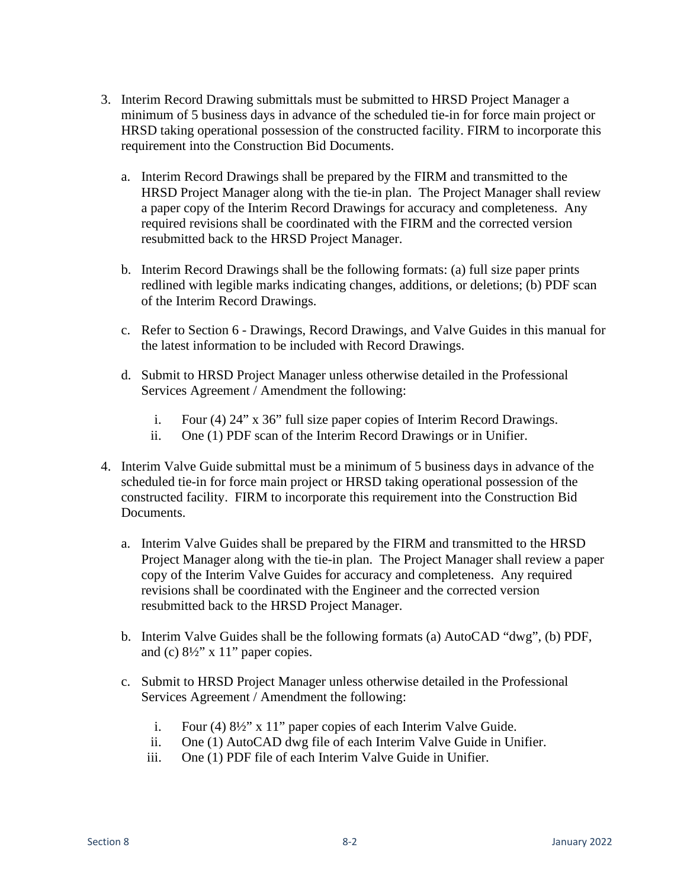- 3. Interim Record Drawing submittals must be submitted to HRSD Project Manager a minimum of 5 business days in advance of the scheduled tie-in for force main project or HRSD taking operational possession of the constructed facility. FIRM to incorporate this requirement into the Construction Bid Documents.
	- a. Interim Record Drawings shall be prepared by the FIRM and transmitted to the HRSD Project Manager along with the tie-in plan. The Project Manager shall review a paper copy of the Interim Record Drawings for accuracy and completeness. Any required revisions shall be coordinated with the FIRM and the corrected version resubmitted back to the HRSD Project Manager.
	- b. Interim Record Drawings shall be the following formats: (a) full size paper prints redlined with legible marks indicating changes, additions, or deletions; (b) PDF scan of the Interim Record Drawings.
	- c. Refer to Section 6 Drawings, Record Drawings, and Valve Guides in this manual for the latest information to be included with Record Drawings.
	- d. Submit to HRSD Project Manager unless otherwise detailed in the Professional Services Agreement / Amendment the following:
		- i. Four (4) 24" x 36" full size paper copies of Interim Record Drawings.
		- ii. One (1) PDF scan of the Interim Record Drawings or in Unifier.
- 4. Interim Valve Guide submittal must be a minimum of 5 business days in advance of the scheduled tie-in for force main project or HRSD taking operational possession of the constructed facility. FIRM to incorporate this requirement into the Construction Bid Documents.
	- a. Interim Valve Guides shall be prepared by the FIRM and transmitted to the HRSD Project Manager along with the tie-in plan. The Project Manager shall review a paper copy of the Interim Valve Guides for accuracy and completeness. Any required revisions shall be coordinated with the Engineer and the corrected version resubmitted back to the HRSD Project Manager.
	- b. Interim Valve Guides shall be the following formats (a) AutoCAD "dwg", (b) PDF, and (c) 8½" x 11" paper copies.
	- c. Submit to HRSD Project Manager unless otherwise detailed in the Professional Services Agreement / Amendment the following:
		- i. Four (4) 8½" x 11" paper copies of each Interim Valve Guide.
		- ii. One (1) AutoCAD dwg file of each Interim Valve Guide in Unifier.
		- iii. One (1) PDF file of each Interim Valve Guide in Unifier.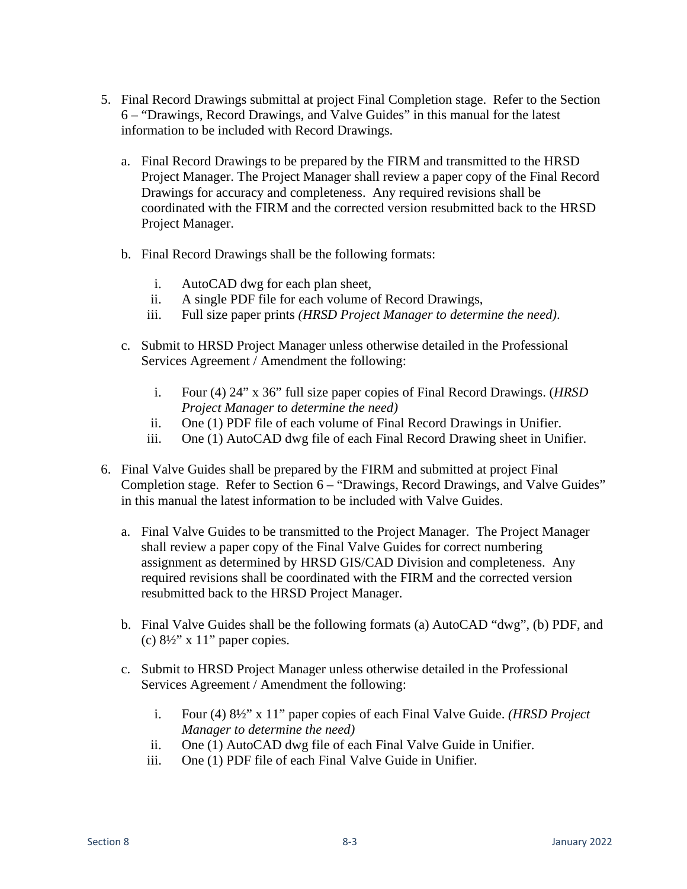- 5. Final Record Drawings submittal at project Final Completion stage. Refer to the Section 6 – "Drawings, Record Drawings, and Valve Guides" in this manual for the latest information to be included with Record Drawings.
	- a. Final Record Drawings to be prepared by the FIRM and transmitted to the HRSD Project Manager. The Project Manager shall review a paper copy of the Final Record Drawings for accuracy and completeness. Any required revisions shall be coordinated with the FIRM and the corrected version resubmitted back to the HRSD Project Manager.
	- b. Final Record Drawings shall be the following formats:
		- i. AutoCAD dwg for each plan sheet,
		- ii. A single PDF file for each volume of Record Drawings,
		- iii. Full size paper prints *(HRSD Project Manager to determine the need)*.
	- c. Submit to HRSD Project Manager unless otherwise detailed in the Professional Services Agreement / Amendment the following:
		- i. Four (4) 24" x 36" full size paper copies of Final Record Drawings. (*HRSD Project Manager to determine the need)*
		- ii. One (1) PDF file of each volume of Final Record Drawings in Unifier.
		- iii. One (1) AutoCAD dwg file of each Final Record Drawing sheet in Unifier.
- 6. Final Valve Guides shall be prepared by the FIRM and submitted at project Final Completion stage. Refer to Section 6 – "Drawings, Record Drawings, and Valve Guides" in this manual the latest information to be included with Valve Guides.
	- a. Final Valve Guides to be transmitted to the Project Manager. The Project Manager shall review a paper copy of the Final Valve Guides for correct numbering assignment as determined by HRSD GIS/CAD Division and completeness. Any required revisions shall be coordinated with the FIRM and the corrected version resubmitted back to the HRSD Project Manager.
	- b. Final Valve Guides shall be the following formats (a) AutoCAD "dwg", (b) PDF, and (c)  $8\frac{1}{2}$ " x 11" paper copies.
	- c. Submit to HRSD Project Manager unless otherwise detailed in the Professional Services Agreement / Amendment the following:
		- i. Four (4) 8½" x 11" paper copies of each Final Valve Guide. *(HRSD Project Manager to determine the need)*
		- ii. One (1) AutoCAD dwg file of each Final Valve Guide in Unifier.
		- iii. One (1) PDF file of each Final Valve Guide in Unifier.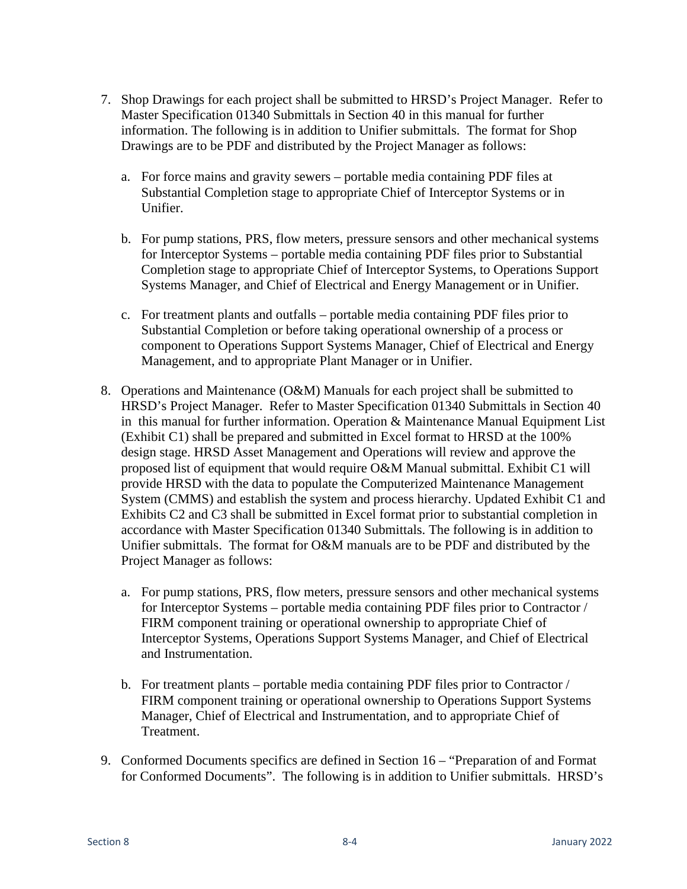- 7. Shop Drawings for each project shall be submitted to HRSD's Project Manager. Refer to Master Specification 01340 Submittals in Section 40 in this manual for further information. The following is in addition to Unifier submittals. The format for Shop Drawings are to be PDF and distributed by the Project Manager as follows:
	- a. For force mains and gravity sewers portable media containing PDF files at Substantial Completion stage to appropriate Chief of Interceptor Systems or in Unifier.
	- b. For pump stations, PRS, flow meters, pressure sensors and other mechanical systems for Interceptor Systems – portable media containing PDF files prior to Substantial Completion stage to appropriate Chief of Interceptor Systems, to Operations Support Systems Manager, and Chief of Electrical and Energy Management or in Unifier.
	- c. For treatment plants and outfalls portable media containing PDF files prior to Substantial Completion or before taking operational ownership of a process or component to Operations Support Systems Manager, Chief of Electrical and Energy Management, and to appropriate Plant Manager or in Unifier.
- 8. Operations and Maintenance (O&M) Manuals for each project shall be submitted to HRSD's Project Manager. Refer to Master Specification 01340 Submittals in Section 40 in this manual for further information. Operation  $\&$  Maintenance Manual Equipment List (Exhibit C1) shall be prepared and submitted in Excel format to HRSD at the 100% design stage. HRSD Asset Management and Operations will review and approve the proposed list of equipment that would require O&M Manual submittal. Exhibit C1 will provide HRSD with the data to populate the Computerized Maintenance Management System (CMMS) and establish the system and process hierarchy. Updated Exhibit C1 and Exhibits C2 and C3 shall be submitted in Excel format prior to substantial completion in accordance with Master Specification 01340 Submittals. The following is in addition to Unifier submittals. The format for O&M manuals are to be PDF and distributed by the Project Manager as follows:
	- a. For pump stations, PRS, flow meters, pressure sensors and other mechanical systems for Interceptor Systems – portable media containing PDF files prior to Contractor / FIRM component training or operational ownership to appropriate Chief of Interceptor Systems, Operations Support Systems Manager, and Chief of Electrical and Instrumentation.
	- b. For treatment plants portable media containing PDF files prior to Contractor / FIRM component training or operational ownership to Operations Support Systems Manager, Chief of Electrical and Instrumentation, and to appropriate Chief of Treatment.
- 9. Conformed Documents specifics are defined in Section 16 "Preparation of and Format for Conformed Documents". The following is in addition to Unifier submittals. HRSD's